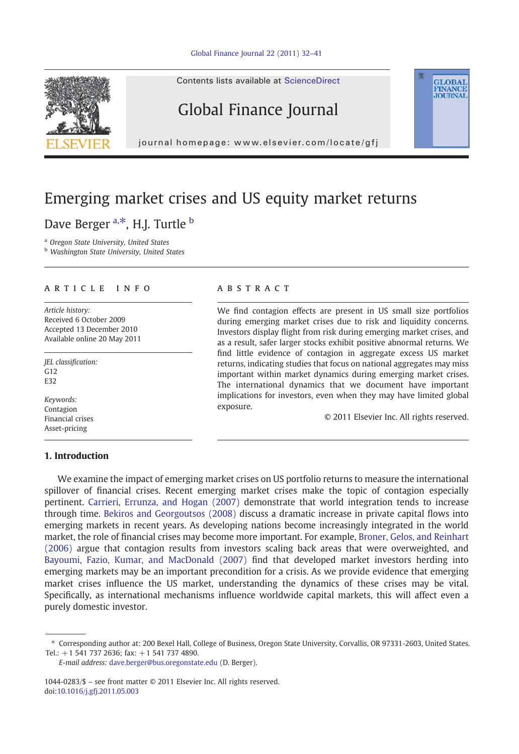Contents lists available at ScienceDirect

## Global Finance Journal

journal homepage: www.elsevier.com/locate/gfj

## Emerging market crises and US equity market returns

## Dave Berger <sup>a,\*</sup>, H.J. Turtle <sup>b</sup>

<sup>a</sup> Oregon State University, United States

**b** Washington State University, United States

#### article info abstract

Article history: Received 6 October 2009 Accepted 13 December 2010 Available online 20 May 2011

JEL classification: G<sub>12</sub> E32

Keywords: Contagion Financial crises Asset-pricing

### 1. Introduction

We find contagion effects are present in US small size portfolios during emerging market crises due to risk and liquidity concerns. Investors display flight from risk during emerging market crises, and as a result, safer larger stocks exhibit positive abnormal returns. We find little evidence of contagion in aggregate excess US market returns, indicating studies that focus on national aggregates may miss important within market dynamics during emerging market crises. The international dynamics that we document have important implications for investors, even when they may have limited global exposure.

© 2011 Elsevier Inc. All rights reserved.

**GLOBAL**<br>FINANCE **JOURNAL** 

We examine the impact of emerging market crises on US portfolio returns to measure the international spillover of financial crises. Recent emerging market crises make the topic of contagion especially pertinent. [Carrieri, Errunza, and Hogan \(2007\)](#page--1-0) demonstrate that world integration tends to increase through time. [Bekiros and Georgoutsos \(2008\)](#page--1-0) discuss a dramatic increase in private capital flows into emerging markets in recent years. As developing nations become increasingly integrated in the world market, the role of financial crises may become more important. For example, [Broner, Gelos, and Reinhart](#page--1-0) [\(2006\)](#page--1-0) argue that contagion results from investors scaling back areas that were overweighted, and [Bayoumi, Fazio, Kumar, and MacDonald \(2007\)](#page--1-0) find that developed market investors herding into emerging markets may be an important precondition for a crisis. As we provide evidence that emerging market crises influence the US market, understanding the dynamics of these crises may be vital. Specifically, as international mechanisms influence worldwide capital markets, this will affect even a purely domestic investor.

1044-0283/\$ – see front matter © 2011 Elsevier Inc. All rights reserved. doi:[10.1016/j.gfj.2011.05.003](http://dx.doi.org/10.1016/j.gfj.2011.05.003)



<sup>⁎</sup> Corresponding author at: 200 Bexel Hall, College of Business, Oregon State University, Corvallis, OR 97331-2603, United States. Tel.: +1 541 737 2636; fax: +1 541 737 4890.

E-mail address: [dave.berger@bus.oregonstate.edu](mailto:dave.berger@bus.oregonstate.edu) (D. Berger).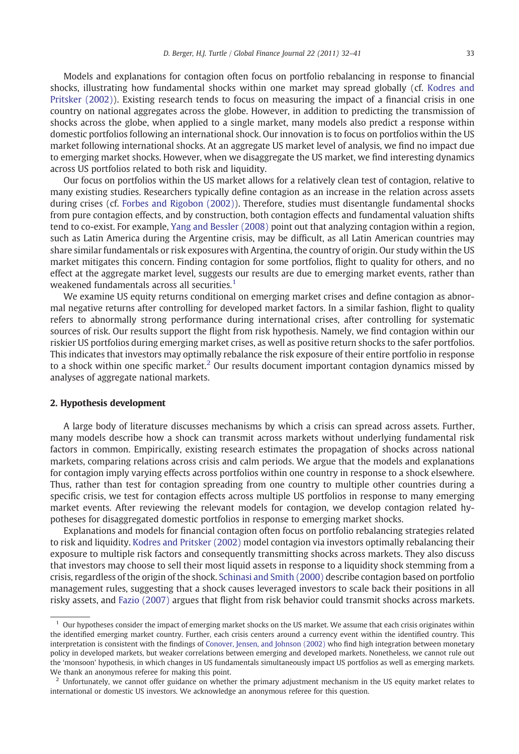Models and explanations for contagion often focus on portfolio rebalancing in response to financial shocks, illustrating how fundamental shocks within one market may spread globally (cf. [Kodres and](#page--1-0) [Pritsker \(2002\)\)](#page--1-0). Existing research tends to focus on measuring the impact of a financial crisis in one country on national aggregates across the globe. However, in addition to predicting the transmission of shocks across the globe, when applied to a single market, many models also predict a response within domestic portfolios following an international shock. Our innovation is to focus on portfolios within the US market following international shocks. At an aggregate US market level of analysis, we find no impact due to emerging market shocks. However, when we disaggregate the US market, we find interesting dynamics across US portfolios related to both risk and liquidity.

Our focus on portfolios within the US market allows for a relatively clean test of contagion, relative to many existing studies. Researchers typically define contagion as an increase in the relation across assets during crises (cf. [Forbes and Rigobon \(2002\)](#page--1-0)). Therefore, studies must disentangle fundamental shocks from pure contagion effects, and by construction, both contagion effects and fundamental valuation shifts tend to co-exist. For example, [Yang and Bessler \(2008\)](#page--1-0) point out that analyzing contagion within a region, such as Latin America during the Argentine crisis, may be difficult, as all Latin American countries may share similar fundamentals or risk exposures with Argentina, the country of origin. Our study within the US market mitigates this concern. Finding contagion for some portfolios, flight to quality for others, and no effect at the aggregate market level, suggests our results are due to emerging market events, rather than weakened fundamentals across all securities. $1$ 

We examine US equity returns conditional on emerging market crises and define contagion as abnormal negative returns after controlling for developed market factors. In a similar fashion, flight to quality refers to abnormally strong performance during international crises, after controlling for systematic sources of risk. Our results support the flight from risk hypothesis. Namely, we find contagion within our riskier US portfolios during emerging market crises, as well as positive return shocks to the safer portfolios. This indicates that investors may optimally rebalance the risk exposure of their entire portfolio in response to a shock within one specific market.<sup>2</sup> Our results document important contagion dynamics missed by analyses of aggregate national markets.

#### 2. Hypothesis development

A large body of literature discusses mechanisms by which a crisis can spread across assets. Further, many models describe how a shock can transmit across markets without underlying fundamental risk factors in common. Empirically, existing research estimates the propagation of shocks across national markets, comparing relations across crisis and calm periods. We argue that the models and explanations for contagion imply varying effects across portfolios within one country in response to a shock elsewhere. Thus, rather than test for contagion spreading from one country to multiple other countries during a specific crisis, we test for contagion effects across multiple US portfolios in response to many emerging market events. After reviewing the relevant models for contagion, we develop contagion related hypotheses for disaggregated domestic portfolios in response to emerging market shocks.

Explanations and models for financial contagion often focus on portfolio rebalancing strategies related to risk and liquidity. [Kodres and Pritsker \(2002\)](#page--1-0) model contagion via investors optimally rebalancing their exposure to multiple risk factors and consequently transmitting shocks across markets. They also discuss that investors may choose to sell their most liquid assets in response to a liquidity shock stemming from a crisis, regardless of the origin of the shock. [Schinasi and Smith \(2000\)](#page--1-0) describe contagion based on portfolio management rules, suggesting that a shock causes leveraged investors to scale back their positions in all risky assets, and [Fazio \(2007\)](#page--1-0) argues that flight from risk behavior could transmit shocks across markets.

 $1$  Our hypotheses consider the impact of emerging market shocks on the US market. We assume that each crisis originates within the identified emerging market country. Further, each crisis centers around a currency event within the identified country. This interpretation is consistent with the findings of [Conover, Jensen, and Johnson \(2002\)](#page--1-0) who find high integration between monetary policy in developed markets, but weaker correlations between emerging and developed markets. Nonetheless, we cannot rule out the 'monsoon' hypothesis, in which changes in US fundamentals simultaneously impact US portfolios as well as emerging markets. We thank an anonymous referee for making this point.

<sup>2</sup> Unfortunately, we cannot offer guidance on whether the primary adjustment mechanism in the US equity market relates to international or domestic US investors. We acknowledge an anonymous referee for this question.